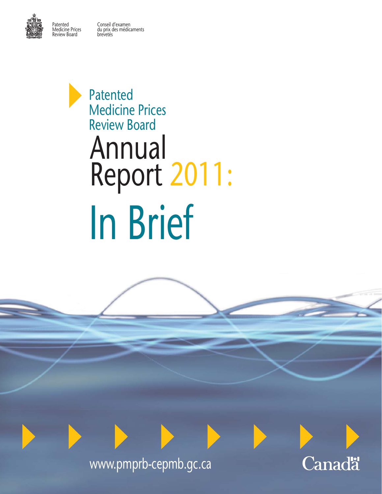Patented Conseil d'examen Medicine Prices du prix des médicaments Review Board brevetés





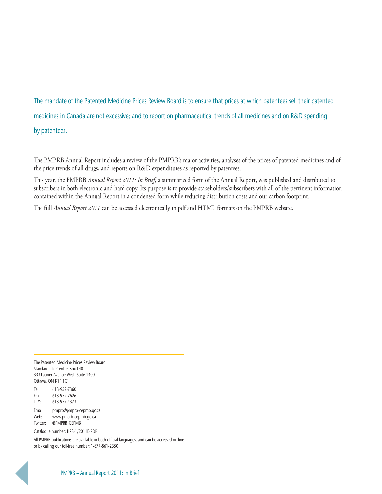## The mandate of the Patented Medicine Prices Review Board is to ensure that prices at which patentees sell their patented medicines in Canada are not excessive; and to report on pharmaceutical trends of all medicines and on R&D spending by patentees.

The PMPRB Annual Report includes a review of the PMPRB's major activities, analyses of the prices of patented medicines and of the price trends of all drugs, and reports on R&D expenditures as reported by patentees.

This year, the PMPRB *Annual Report 2011: In Brief*, a summarized form of the Annual Report, was published and distributed to subscribers in both electronic and hard copy. Its purpose is to provide stakeholders/subscribers with all of the pertinent information contained within the Annual Report in a condensed form while reducing distribution costs and our carbon footprint.

The full *Annual Report 2011* can be accessed electronically in pdf and HTML formats on the PMPRB website.

The Patented Medicine Prices Review Board Standard Life Centre, Box L40 333 Laurier Avenue West, Suite 1400 Ottawa, ON K1P 1C1

Tel.: 613-952-7360 Fax: 613-952-7626 TTY: 613-957-4373

Email: [pmprb@pmprb-cepmb.gc.ca](mailto:pmprb@pmprb-cepmb.gc.ca) Web: [www.pmprb-cepmb.gc.ca](http://www.pmprb-cepmb.gc.ca) Twitter: @PMPRB\_CEPMB

Catalogue number: H78-1/2011E-PDF

All PMPRB publications are available in both official languages, and can be accessed on line or by calling our toll-free number: 1-877-861-2350

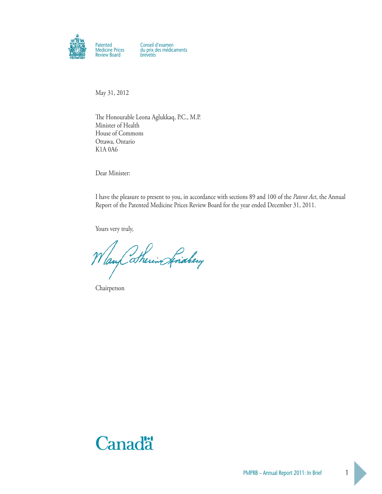

May 31, 2012

The Honourable Leona Aglukkaq, P.C., M.P. Minister of Health House of Commons Ottawa, Ontario K1A 0A6

Dear Minister:

I have the pleasure to present to you, in accordance with sections 89 and 100 of the *Patent Act*, the Annual Report of the Patented Medicine Prices Review Board for the year ended December 31, 2011.

Yours very truly,

Way Sherin Anaberg

Chairperson

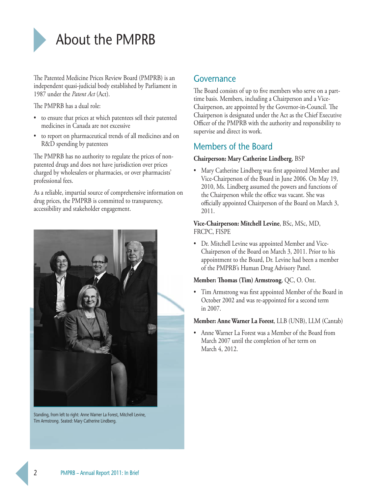

The Patented Medicine Prices Review Board (PMPRB) is an independent quasi-judicial body established by Parliament in 1987 under the *Patent Act* (Act).

The PMPRB has a dual role:

- to ensure that prices at which patentees sell their patented medicines in Canada are not excessive
- to report on pharmaceutical trends of all medicines and on R&D spending by patentees

The PMPRB has no authority to regulate the prices of nonpatented drugs and does not have jurisdiction over prices charged by wholesalers or pharmacies, or over pharmacists' professional fees.

As a reliable, impartial source of comprehensive information on drug prices, the PMPRB is committed to transparency, accessibility and stakeholder engagement.



Standing, from left to right: Anne Warner La Forest, Mitchell Levine, Tim Armstrong. Seated: Mary Catherine Lindberg.

### Governance

The Board consists of up to five members who serve on a parttime basis. Members, including a Chairperson and a Vice-Chairperson, are appointed by the Governor-in-Council. The Chairperson is designated under the Act as the Chief Executive Officer of the PMPRB with the authority and responsibility to supervise and direct its work.

## Members of the Board

#### **Chairperson: Mary Catherine Lindberg**, BSP

• Mary Catherine Lindberg was first appointed Member and Vice-Chairperson of the Board in June 2006. On May 19, 2010, Ms. Lindberg assumed the powers and functions of the Chairperson while the office was vacant. She was officially appointed Chairperson of the Board on March 3, 2011.

### **Vice-Chairperson: Mitchell Levine**, BSc, MSc, MD, FRCPC, FISPE

• Dr. Mitchell Levine was appointed Member and Vice-Chairperson of the Board on March 3, 2011. Prior to his appointment to the Board, Dr. Levine had been a member of the PMPRB's Human Drug Advisory Panel.

### **Member: Thomas (Tim) Armstrong**, QC, O. Ont.

• Tim Armstrong was first appointed Member of the Board in October 2002 and was re-appointed for a second term in 2007.

### **Member: Anne Warner La Forest**, LLB (UNB), LLM (Cantab)

• Anne Warner La Forest was a Member of the Board from March 2007 until the completion of her term on March 4, 2012.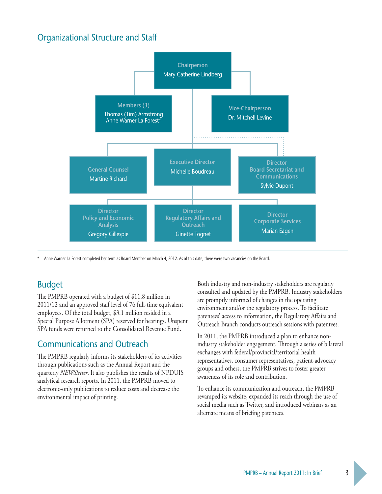## Organizational Structure and Staff



\* Anne Warner La Forest completed her term as Board Member on March 4, 2012. As of this date, there were two vacancies on the Board.

## Budget

The PMPRB operated with a budget of \$11.8 million in 2011/12 and an approved staff level of 76 full-time equivalent employees. Of the total budget, \$3.1 million resided in a Special Purpose Allotment (SPA) reserved for hearings. Unspent SPA funds were returned to the Consolidated Revenue Fund.

### Communications and Outreach

The PMPRB regularly informs its stakeholders of its activities through publications such as the Annual Report and the quarterly *NEWSletter*. It also publishes the results of NPDUIS analytical research reports. In 2011, the PMPRB moved to electronic-only publications to reduce costs and decrease the environmental impact of printing.

Both industry and non-industry stakeholders are regularly consulted and updated by the PMPRB. Industry stakeholders are promptly informed of changes in the operating environment and/or the regulatory process. To facilitate patentees' access to information, the Regulatory Affairs and Outreach Branch conducts outreach sessions with patentees.

In 2011, the PMPRB introduced a plan to enhance nonindustry stakeholder engagement. Through a series of bilateral exchanges with federal/provincial/territorial health representatives, consumer representatives, patient-advocacy groups and others, the PMPRB strives to foster greater awareness of its role and contribution.

To enhance its communication and outreach, the PMPRB revamped its website, expanded its reach through the use of social media such as Twitter, and introduced webinars as an alternate means of briefing patentees.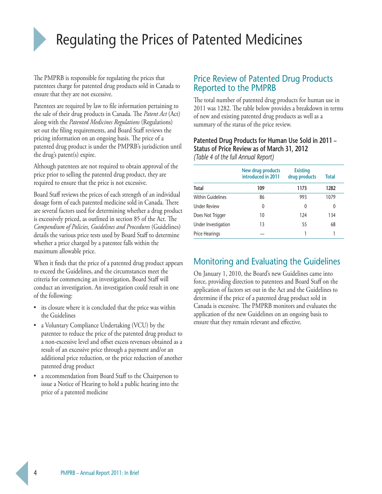

# Regulating the Prices of Patented Medicines

The PMPRB is responsible for regulating the prices that patentees charge for patented drug products sold in Canada to ensure that they are not excessive.

Patentees are required by law to file information pertaining to the sale of their drug products in Canada. The *Patent Act* (Act) along with the *Patented Medicines Regulations* (Regulations) set out the filing requirements, and Board Staff reviews the pricing information on an ongoing basis. The price of a patented drug product is under the PMPRB's jurisdiction until the drug's patent(s) expire.

Although patentees are not required to obtain approval of the price prior to selling the patented drug product, they are required to ensure that the price is not excessive.

Board Staff reviews the prices of each strength of an individual dosage form of each patented medicine sold in Canada. There are several factors used for determining whether a drug product is excessively priced, as outlined in section 85 of the Act. The *Compendium of Policies, Guidelines and Procedures* (Guidelines) details the various price tests used by Board Staff to determine whether a price charged by a patentee falls within the maximum allowable price.

When it finds that the price of a patented drug product appears to exceed the Guidelines, and the circumstances meet the criteria for commencing an investigation, Board Staff will conduct an investigation. An investigation could result in one of the following:

- its closure where it is concluded that the price was within the Guidelines
- a Voluntary Compliance Undertaking (VCU) by the patentee to reduce the price of the patented drug product to a non-excessive level and offset excess revenues obtained as a result of an excessive price through a payment and/or an additional price reduction, or the price reduction of another patented drug product
- a recommendation from Board Staff to the Chairperson to issue a Notice of Hearing to hold a public hearing into the price of a patented medicine

## Price Review of Patented Drug Products Reported to the PMPRB

The total number of patented drug products for human use in 2011 was 1282. The table below provides a breakdown in terms of new and existing patented drug products as well as a summary of the status of the price review.

### **Patented Drug Products for Human Use Sold in 2011 – Status of Price Review as of March 31, 2012**  *(Table 4 of the full Annual Report)*

|                          | New drug products<br>introduced in 2011 | <b>Existing</b><br>drug products | <b>Total</b> |
|--------------------------|-----------------------------------------|----------------------------------|--------------|
| <b>Total</b>             | 109                                     | 1173                             | 1282         |
| <b>Within Guidelines</b> | 86                                      | 993                              | 1079         |
| <b>Under Review</b>      | 0                                       | 0                                | 0            |
| Does Not Trigger         | 10                                      | 124                              | 134          |
| Under Investigation      | 13                                      | 55                               | 68           |
| Price Hearings           |                                         |                                  | 1            |

## Monitoring and Evaluating the Guidelines

On January 1, 2010, the Board's new Guidelines came into force, providing direction to patentees and Board Staff on the application of factors set out in the Act and the Guidelines to determine if the price of a patented drug product sold in Canada is excessive. The PMPRB monitors and evaluates the application of the new Guidelines on an ongoing basis to ensure that they remain relevant and effective.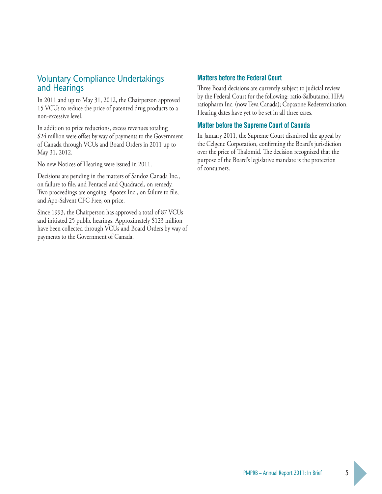## Voluntary Compliance Undertakings and Hearings

In 2011 and up to May 31, 2012, the Chairperson approved 15 VCUs to reduce the price of patented drug products to a non-excessive level.

In addition to price reductions, excess revenues totaling \$24 million were offset by way of payments to the Government of Canada through VCUs and Board Orders in 2011 up to May 31, 2012.

No new Notices of Hearing were issued in 2011.

Decisions are pending in the matters of Sandoz Canada Inc., on failure to file, and Pentacel and Quadracel, on remedy. Two proceedings are ongoing: Apotex Inc., on failure to file, and Apo-Salvent CFC Free, on price.

Since 1993, the Chairperson has approved a total of 87 VCUs and initiated 25 public hearings. Approximately \$123 million have been collected through VCUs and Board Orders by way of payments to the Government of Canada.

### **Matters before the Federal Court**

Three Board decisions are currently subject to judicial review by the Federal Court for the following: ratio-Salbutamol HFA; ratiopharm Inc. (now Teva Canada); Copaxone Redetermination. Hearing dates have yet to be set in all three cases.

### **Matter before the Supreme Court of Canada**

In January 2011, the Supreme Court dismissed the appeal by the Celgene Corporation, confirming the Board's jurisdiction over the price of Thalomid. The decision recognized that the purpose of the Board's legislative mandate is the protection of consumers.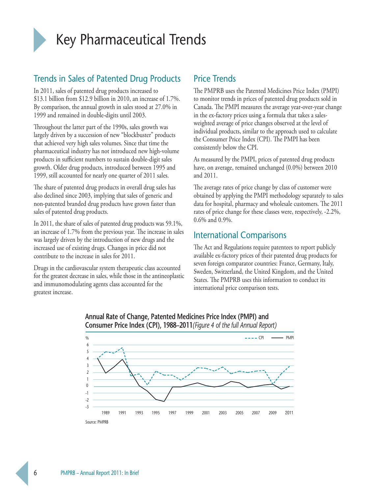

## Key Pharmaceutical Trends

## Trends in Sales of Patented Drug Products

In 2011, sales of patented drug products increased to \$13.1 billion from \$12.9 billion in 2010, an increase of 1.7%. By comparison, the annual growth in sales stood at 27.0% in 1999 and remained in double-digits until 2003.

Throughout the latter part of the 1990s, sales growth was largely driven by a succession of new "blockbuster" products that achieved very high sales volumes. Since that time the pharmaceutical industry has not introduced new high-volume products in sufficient numbers to sustain double-digit sales growth. Older drug products, introduced between 1995 and 1999, still accounted for nearly one quarter of 2011 sales.

The share of patented drug products in overall drug sales has also declined since 2003, implying that sales of generic and non-patented branded drug products have grown faster than sales of patented drug products.

In 2011, the share of sales of patented drug products was 59.1%, an increase of 1.7% from the previous year. The increase in sales was largely driven by the introduction of new drugs and the increased use of existing drugs. Changes in price did not contribute to the increase in sales for 2011.

Drugs in the cardiovascular system therapeutic class accounted for the greatest decrease in sales, while those in the antineoplastic and immunomodulating agents class accounted for the greatest increase.

## Price Trends

The PMPRB uses the Patented Medicines Price Index (PMPI) to monitor trends in prices of patented drug products sold in Canada. The PMPI measures the average year-over-year change in the ex-factory prices using a formula that takes a salesweighted average of price changes observed at the level of individual products, similar to the approach used to calculate the Consumer Price Index (CPI). The PMPI has been consistently below the CPI.

As measured by the PMPI, prices of patented drug products have, on average, remained unchanged (0.0%) between 2010 and 2011.

The average rates of price change by class of customer were obtained by applying the PMPI methodology separately to sales data for hospital, pharmacy and wholesale customers. The 2011 rates of price change for these classes were, respectively, -2.2%, 0.6% and 0.9%.

## International Comparisons

The Act and Regulations require patentees to report publicly available ex-factory prices of their patented drug products for seven foreign comparator countries: France, Germany, Italy, Sweden, Switzerland, the United Kingdom, and the United States. The PMPRB uses this information to conduct its international price comparison tests.



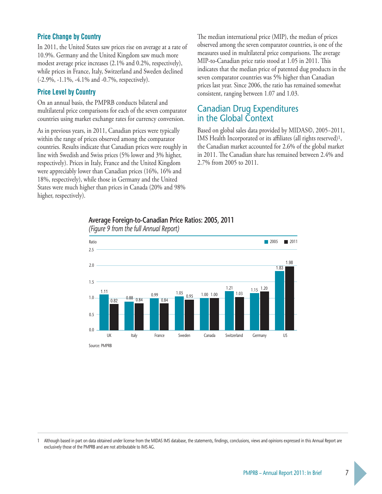### **Price Change by Country**

In 2011, the United States saw prices rise on average at a rate of 10.9%. Germany and the United Kingdom saw much more modest average price increases (2.1% and 0.2%, respectively), while prices in France, Italy, Switzerland and Sweden declined (-2.9%, -1.1%, -4.1% and -0.7%, respectively).

#### **Price Level by Country**

On an annual basis, the PMPRB conducts bilateral and multilateral price comparisons for each of the seven comparator countries using market exchange rates for currency conversion.

As in previous years, in 2011, Canadian prices were typically within the range of prices observed among the comparator countries. Results indicate that Canadian prices were roughly in line with Swedish and Swiss prices (5% lower and 3% higher, respectively). Prices in Italy, France and the United Kingdom were appreciably lower than Canadian prices (16%, 16% and 18%, respectively), while those in Germany and the United States were much higher than prices in Canada (20% and 98% higher, respectively).

The median international price (MIP), the median of prices observed among the seven comparator countries, is one of the measures used in multilateral price comparisons. The average MIP-to-Canadian price ratio stood at 1.05 in 2011. This indicates that the median price of patented dug products in the seven comparator countries was 5% higher than Canadian prices last year. Since 2006, the ratio has remained somewhat consistent, ranging between 1.07 and 1.03.

### Canadian Drug Expenditures in the Global Context

Based on global sales data provided by MIDAS©, 2005−2011, IMS Health Incorporated or its affiliates (all rights reserved)<sup>1</sup>, the Canadian market accounted for 2.6% of the global market in 2011. The Canadian share has remained between 2.4% and 2.7% from 2005 to 2011.



## **Average Foreign-to-Canadian Price Ratios: 2005, 2011**

Although based in part on data obtained under license from the MIDAS IMS database, the statements, findings, conclusions, views and opinions expressed in this Annual Report are exclusively those of the PMPRB and are not attributable to IMS AG.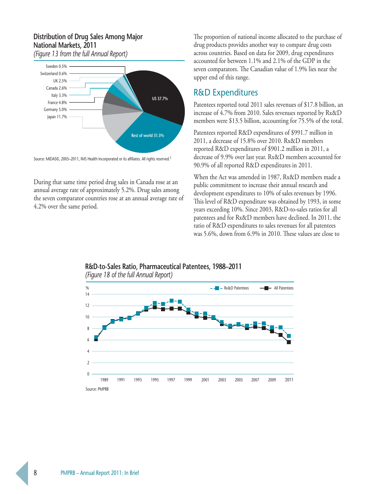## **Distribution of Drug Sales Among Major National Markets, 2011**



*(Figure 13 from the full Annual Report)*



During that same time period drug sales in Canada rose at an annual average rate of approximately 5.2%. Drug sales among the seven comparator countries rose at an annual average rate of 4.2% over the same period.

The proportion of national income allocated to the purchase of drug products provides another way to compare drug costs across countries. Based on data for 2009, drug expenditures accounted for between 1.1% and 2.1% of the GDP in the seven comparators. The Canadian value of 1.9% lies near the upper end of this range.

## R&D Expenditures

Patentees reported total 2011 sales revenues of \$17.8 billion, an increase of 4.7% from 2010. Sales revenues reported by Rx&D members were \$13.5 billion, accounting for 75.5% of the total.

Patentees reported R&D expenditures of \$991.7 million in 2011, a decrease of 15.8% over 2010. Rx&D members reported R&D expenditures of \$901.2 million in 2011, a decrease of 9.9% over last year. Rx&D members accounted for 90.9% of all reported R&D expenditures in 2011.

When the Act was amended in 1987, Rx&D members made a public commitment to increase their annual research and development expenditures to 10% of sales revenues by 1996. This level of R&D expenditure was obtained by 1993, in some years exceeding 10%. Since 2003, R&D-to-sales ratios for all patentees and for Rx&D members have declined. In 2011, the ratio of R&D expenditures to sales revenues for all patentees was 5.6%, down from 6.9% in 2010. These values are close to

## *(Figure 18 of the full Annual Report)* 1989 1997 1999 2001 2003 2005 2007 2009 1991 1993 1995 2011 Source: PMPRB % Rx&D Patentees All Patentees  $\mathsf{O}$ 2 4 6 8 10 12 14

## **R&D-to-Sales Ratio, Pharmaceutical Patentees, 1988–2011**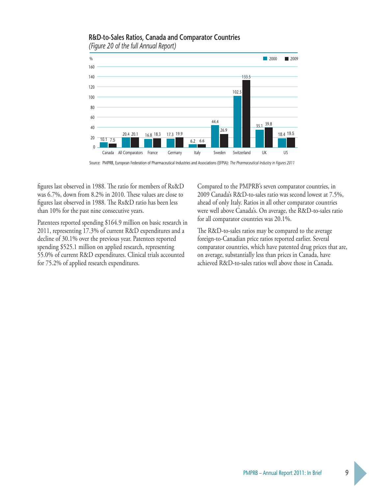

#### **R&D-to-Sales Ratios, Canada and Comparator Countries**  *(Figure 20 of the full Annual Report)*

Source: PMPRB, European Federation of Pharmaceutical Industries and Associations (EFPIA): *The Pharmaceutical Industry in Figures 2011*

figures last observed in 1988. The ratio for members of Rx&D was 6.7%, down from 8.2% in 2010. These values are close to figures last observed in 1988. The Rx&D ratio has been less than 10% for the past nine consecutive years.

Patentees reported spending \$164.9 million on basic research in 2011, representing 17.3% of current R&D expenditures and a decline of 30.1% over the previous year. Patentees reported spending \$525.1 million on applied research, representing 55.0% of current R&D expenditures. Clinical trials accounted for 75.2% of applied research expenditures.

Compared to the PMPRB's seven comparator countries, in 2009 Canada's R&D-to-sales ratio was second lowest at 7.5%, ahead of only Italy. Ratios in all other comparator countries were well above Canada's. On average, the R&D-to-sales ratio for all comparator countries was 20.1%.

The R&D-to-sales ratios may be compared to the average foreign-to-Canadian price ratios reported earlier. Several comparator countries, which have patented drug prices that are, on average, substantially less than prices in Canada, have achieved R&D-to-sales ratios well above those in Canada.